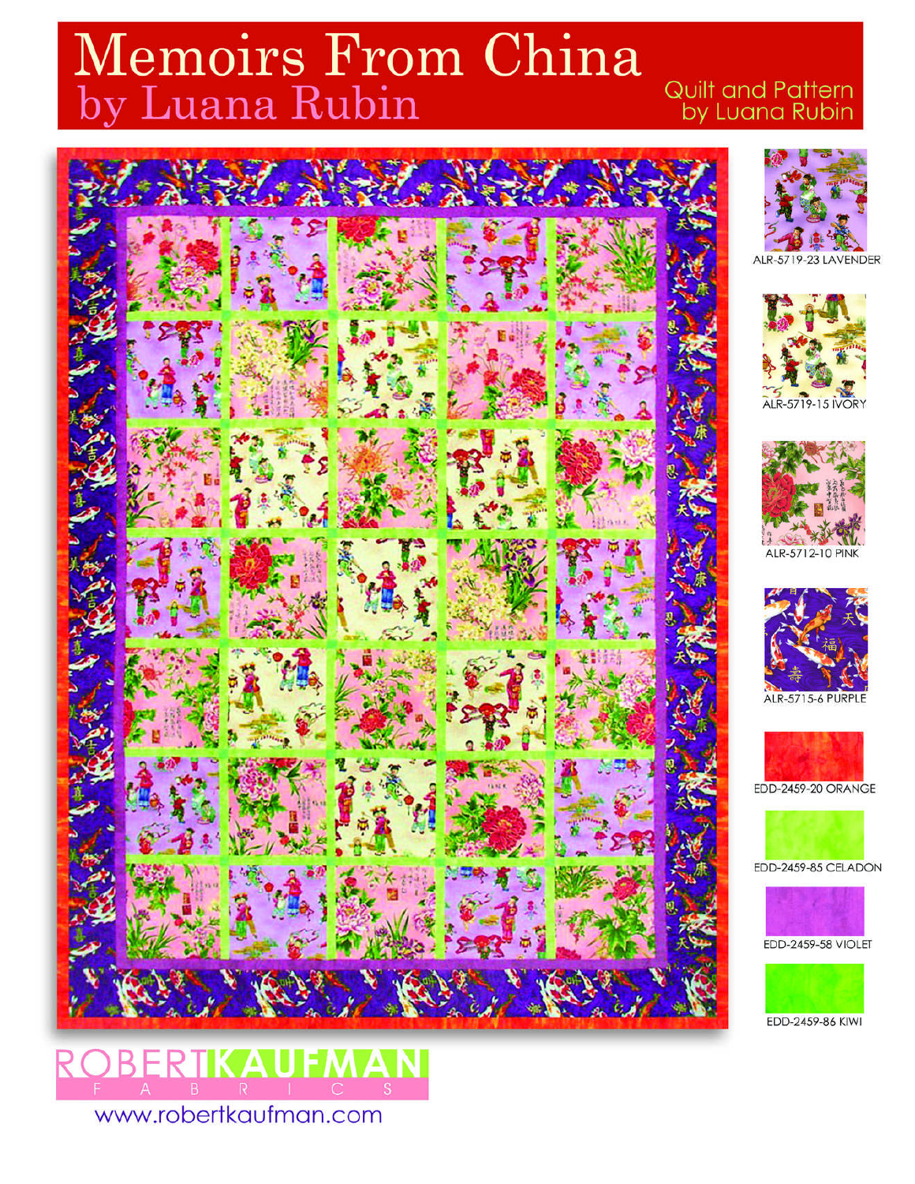# Memoirs From China<br>by Luana Rubin

# Quilt and Pattern by Luana Rubin



















# EDD-2459-86 KIWI

www.robertkaufman.com